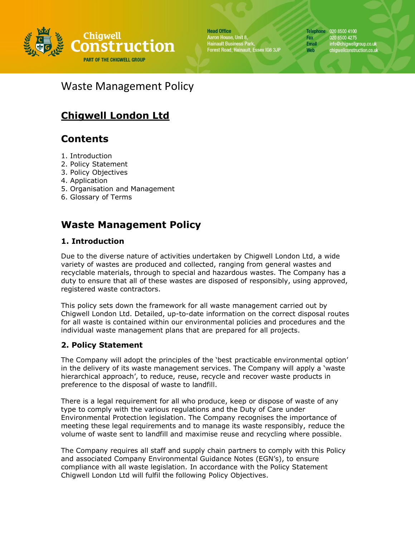

**Head Office** Aaron House, Unit 8, Hainault Business Park,<br>Hainault Business Park,<br>Forest Road, Hainault, Essex IG6 3JP

Telephone 020 8500 4100 020 8500 4275 **Email** info@chigwellgroup.co.uk chigwellconstruction.co.uk

Fax

Web

# Waste Management Policy

# **Chigwell London Ltd**

## **Contents**

- 1. Introduction
- 2. Policy Statement
- 3. Policy Objectives
- 4. Application
- 5. Organisation and Management
- 6. Glossary of Terms

## **Waste Management Policy**

## **1. Introduction**

Due to the diverse nature of activities undertaken by Chigwell London Ltd, a wide variety of wastes are produced and collected, ranging from general wastes and recyclable materials, through to special and hazardous wastes. The Company has a duty to ensure that all of these wastes are disposed of responsibly, using approved, registered waste contractors.

This policy sets down the framework for all waste management carried out by Chigwell London Ltd. Detailed, up-to-date information on the correct disposal routes for all waste is contained within our environmental policies and procedures and the individual waste management plans that are prepared for all projects.

## **2. Policy Statement**

The Company will adopt the principles of the 'best practicable environmental option' in the delivery of its waste management services. The Company will apply a 'waste hierarchical approach', to reduce, reuse, recycle and recover waste products in preference to the disposal of waste to landfill.

There is a legal requirement for all who produce, keep or dispose of waste of any type to comply with the various regulations and the Duty of Care under Environmental Protection legislation. The Company recognises the importance of meeting these legal requirements and to manage its waste responsibly, reduce the volume of waste sent to landfill and maximise reuse and recycling where possible.

The Company requires all staff and supply chain partners to comply with this Policy and associated Company Environmental Guidance Notes (EGN's), to ensure compliance with all waste legislation. In accordance with the Policy Statement Chigwell London Ltd will fulfil the following Policy Objectives.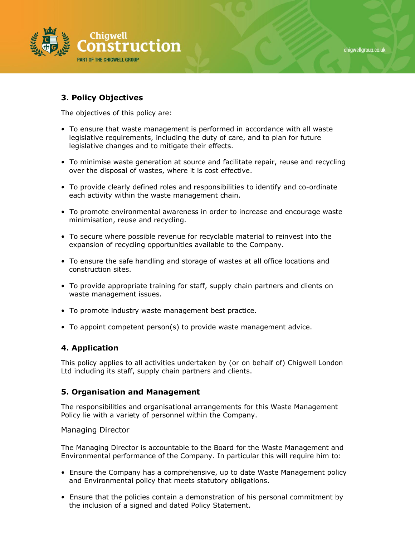



### **3. Policy Objectives**

The objectives of this policy are:

- To ensure that waste management is performed in accordance with all waste legislative requirements, including the duty of care, and to plan for future legislative changes and to mitigate their effects.
- To minimise waste generation at source and facilitate repair, reuse and recycling over the disposal of wastes, where it is cost effective.
- To provide clearly defined roles and responsibilities to identify and co-ordinate each activity within the waste management chain.
- To promote environmental awareness in order to increase and encourage waste minimisation, reuse and recycling.
- To secure where possible revenue for recyclable material to reinvest into the expansion of recycling opportunities available to the Company.
- To ensure the safe handling and storage of wastes at all office locations and construction sites.
- To provide appropriate training for staff, supply chain partners and clients on waste management issues.
- To promote industry waste management best practice.
- To appoint competent person(s) to provide waste management advice.

#### **4. Application**

This policy applies to all activities undertaken by (or on behalf of) Chigwell London Ltd including its staff, supply chain partners and clients.

#### **5. Organisation and Management**

The responsibilities and organisational arrangements for this Waste Management Policy lie with a variety of personnel within the Company.

#### Managing Director

The Managing Director is accountable to the Board for the Waste Management and Environmental performance of the Company. In particular this will require him to:

- Ensure the Company has a comprehensive, up to date Waste Management policy and Environmental policy that meets statutory obligations.
- Ensure that the policies contain a demonstration of his personal commitment by the inclusion of a signed and dated Policy Statement.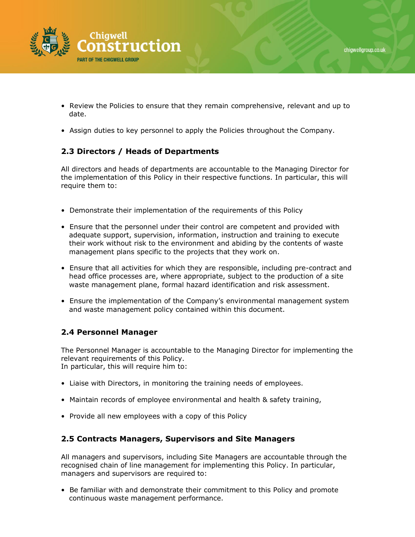

- Review the Policies to ensure that they remain comprehensive, relevant and up to date.
- Assign duties to key personnel to apply the Policies throughout the Company.

## **2.3 Directors / Heads of Departments**

All directors and heads of departments are accountable to the Managing Director for the implementation of this Policy in their respective functions. In particular, this will require them to:

- Demonstrate their implementation of the requirements of this Policy
- Ensure that the personnel under their control are competent and provided with adequate support, supervision, information, instruction and training to execute their work without risk to the environment and abiding by the contents of waste management plans specific to the projects that they work on.
- Ensure that all activities for which they are responsible, including pre-contract and head office processes are, where appropriate, subject to the production of a site waste management plane, formal hazard identification and risk assessment.
- Ensure the implementation of the Company's environmental management system and waste management policy contained within this document.

## **2.4 Personnel Manager**

The Personnel Manager is accountable to the Managing Director for implementing the relevant requirements of this Policy. In particular, this will require him to:

- Liaise with Directors, in monitoring the training needs of employees.
- Maintain records of employee environmental and health & safety training,
- Provide all new employees with a copy of this Policy

#### **2.5 Contracts Managers, Supervisors and Site Managers**

All managers and supervisors, including Site Managers are accountable through the recognised chain of line management for implementing this Policy. In particular, managers and supervisors are required to:

• Be familiar with and demonstrate their commitment to this Policy and promote continuous waste management performance.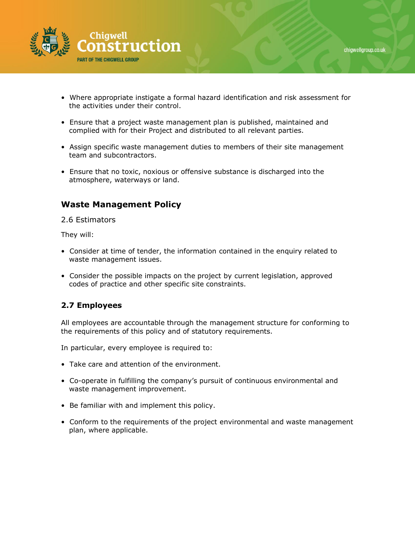

- Where appropriate instigate a formal hazard identification and risk assessment for the activities under their control.
- Ensure that a project waste management plan is published, maintained and complied with for their Project and distributed to all relevant parties.
- Assign specific waste management duties to members of their site management team and subcontractors.
- Ensure that no toxic, noxious or offensive substance is discharged into the atmosphere, waterways or land.

## **Waste Management Policy**

2.6 Estimators

They will:

- Consider at time of tender, the information contained in the enquiry related to waste management issues.
- Consider the possible impacts on the project by current legislation, approved codes of practice and other specific site constraints.

#### **2.7 Employees**

All employees are accountable through the management structure for conforming to the requirements of this policy and of statutory requirements.

In particular, every employee is required to:

- Take care and attention of the environment.
- Co-operate in fulfilling the company's pursuit of continuous environmental and waste management improvement.
- Be familiar with and implement this policy.
- Conform to the requirements of the project environmental and waste management plan, where applicable.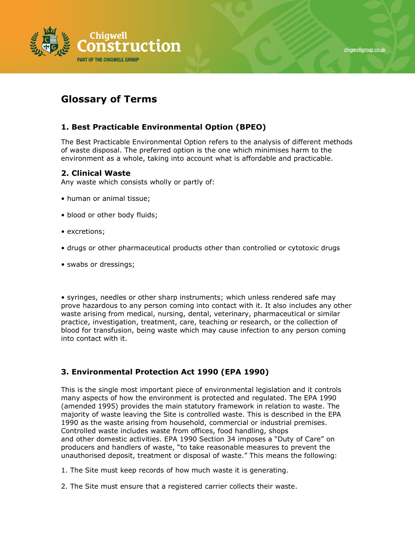



## **Glossary of Terms**

## **1. Best Practicable Environmental Option (BPEO)**

The Best Practicable Environmental Option refers to the analysis of different methods of waste disposal. The preferred option is the one which minimises harm to the environment as a whole, taking into account what is affordable and practicable.

### **2. Clinical Waste**

Any waste which consists wholly or partly of:

- human or animal tissue;
- blood or other body fluids;
- excretions;
- drugs or other pharmaceutical products other than controlled or cytotoxic drugs
- swabs or dressings;

• syringes, needles or other sharp instruments; which unless rendered safe may prove hazardous to any person coming into contact with it. It also includes any other waste arising from medical, nursing, dental, veterinary, pharmaceutical or similar practice, investigation, treatment, care, teaching or research, or the collection of blood for transfusion, being waste which may cause infection to any person coming into contact with it.

## **3. Environmental Protection Act 1990 (EPA 1990)**

This is the single most important piece of environmental legislation and it controls many aspects of how the environment is protected and regulated. The EPA 1990 (amended 1995) provides the main statutory framework in relation to waste. The majority of waste leaving the Site is controlled waste. This is described in the EPA 1990 as the waste arising from household, commercial or industrial premises. Controlled waste includes waste from offices, food handling, shops and other domestic activities. EPA 1990 Section 34 imposes a "Duty of Care" on producers and handlers of waste, "to take reasonable measures to prevent the unauthorised deposit, treatment or disposal of waste." This means the following:

- 1. The Site must keep records of how much waste it is generating.
- 2. The Site must ensure that a registered carrier collects their waste.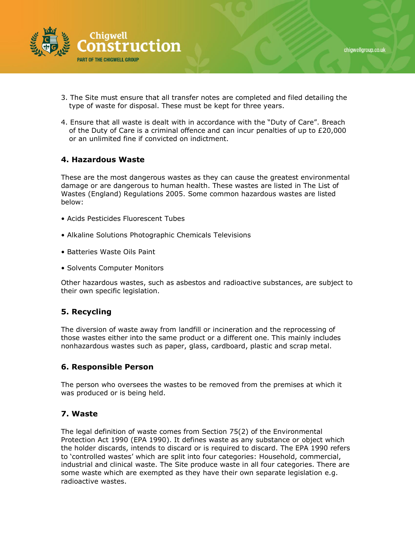

- 3. The Site must ensure that all transfer notes are completed and filed detailing the type of waste for disposal. These must be kept for three years.
- 4. Ensure that all waste is dealt with in accordance with the "Duty of Care". Breach of the Duty of Care is a criminal offence and can incur penalties of up to £20,000 or an unlimited fine if convicted on indictment.

#### **4. Hazardous Waste**

These are the most dangerous wastes as they can cause the greatest environmental damage or are dangerous to human health. These wastes are listed in The List of Wastes (England) Regulations 2005. Some common hazardous wastes are listed below:

- Acids Pesticides Fluorescent Tubes
- Alkaline Solutions Photographic Chemicals Televisions
- Batteries Waste Oils Paint
- Solvents Computer Monitors

Other hazardous wastes, such as asbestos and radioactive substances, are subject to their own specific legislation.

#### **5. Recycling**

The diversion of waste away from landfill or incineration and the reprocessing of those wastes either into the same product or a different one. This mainly includes nonhazardous wastes such as paper, glass, cardboard, plastic and scrap metal.

#### **6. Responsible Person**

The person who oversees the wastes to be removed from the premises at which it was produced or is being held.

#### **7. Waste**

The legal definition of waste comes from Section 75(2) of the Environmental Protection Act 1990 (EPA 1990). It defines waste as any substance or object which the holder discards, intends to discard or is required to discard. The EPA 1990 refers to 'controlled wastes' which are split into four categories: Household, commercial, industrial and clinical waste. The Site produce waste in all four categories. There are some waste which are exempted as they have their own separate legislation e.g. radioactive wastes.